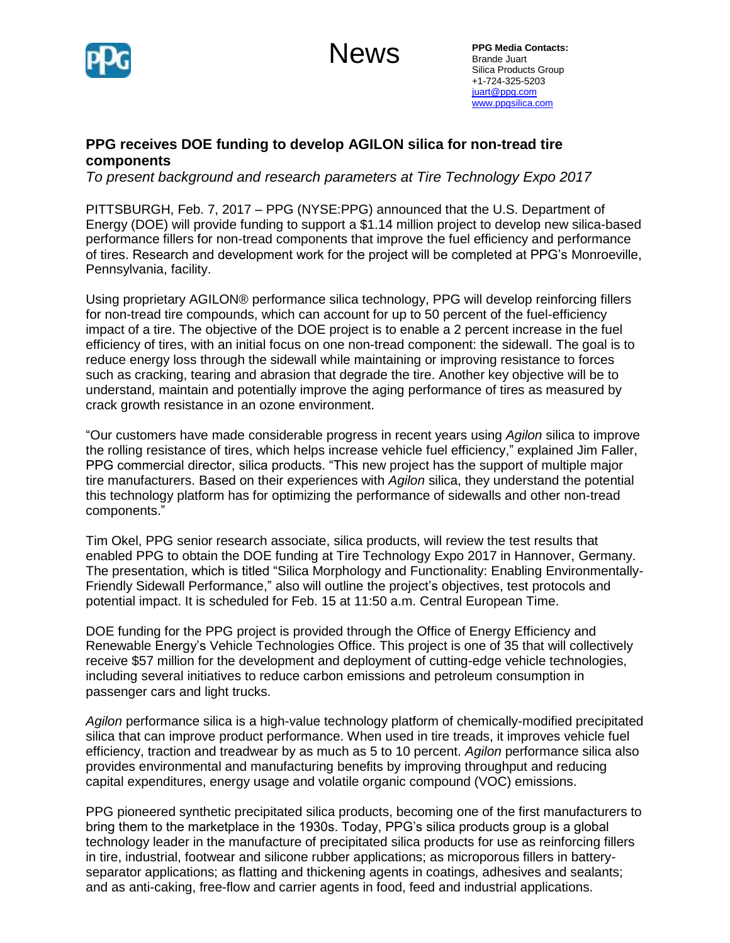

**News** 

**PPG Media Contacts:**  Brande Juart Silica Products Group +1-724-325-5203 [juart@ppg.com](mailto:juart@ppg.com) [www.ppgsilica.com](http://www.ppgsilica.com/)

## **PPG receives DOE funding to develop AGILON silica for non-tread tire components**

*To present background and research parameters at Tire Technology Expo 2017* 

PITTSBURGH, Feb. 7, 2017 – PPG (NYSE:PPG) announced that the U.S. Department of Energy (DOE) will provide funding to support a \$1.14 million project to develop new silica-based performance fillers for non-tread components that improve the fuel efficiency and performance of tires. Research and development work for the project will be completed at PPG's Monroeville, Pennsylvania, facility.

Using proprietary AGILON® performance silica technology, PPG will develop reinforcing fillers for non-tread tire compounds, which can account for up to 50 percent of the fuel-efficiency impact of a tire. The objective of the DOE project is to enable a 2 percent increase in the fuel efficiency of tires, with an initial focus on one non-tread component: the sidewall. The goal is to reduce energy loss through the sidewall while maintaining or improving resistance to forces such as cracking, tearing and abrasion that degrade the tire. Another key objective will be to understand, maintain and potentially improve the aging performance of tires as measured by crack growth resistance in an ozone environment.

"Our customers have made considerable progress in recent years using *Agilon* silica to improve the rolling resistance of tires, which helps increase vehicle fuel efficiency," explained Jim Faller, PPG commercial director, silica products. "This new project has the support of multiple major tire manufacturers. Based on their experiences with *Agilon* silica, they understand the potential this technology platform has for optimizing the performance of sidewalls and other non-tread components."

Tim Okel, PPG senior research associate, silica products, will review the test results that enabled PPG to obtain the DOE funding at Tire Technology Expo 2017 in Hannover, Germany. The presentation, which is titled "Silica Morphology and Functionality: Enabling Environmentally-Friendly Sidewall Performance," also will outline the project's objectives, test protocols and potential impact. It is scheduled for Feb. 15 at 11:50 a.m. Central European Time.

DOE funding for the PPG project is provided through the Office of Energy Efficiency and Renewable Energy's Vehicle Technologies Office. This project is one of 35 that will collectively receive \$57 million for the development and deployment of cutting-edge vehicle technologies, including several initiatives to reduce carbon emissions and petroleum consumption in passenger cars and light trucks.

*Agilon* performance silica is a high-value technology platform of chemically-modified precipitated silica that can improve product performance. When used in tire treads, it improves vehicle fuel efficiency, traction and treadwear by as much as 5 to 10 percent. *Agilon* performance silica also provides environmental and manufacturing benefits by improving throughput and reducing capital expenditures, energy usage and volatile organic compound (VOC) emissions.

PPG pioneered synthetic precipitated silica products, becoming one of the first manufacturers to bring them to the marketplace in the 1930s. Today, PPG's silica products group is a global technology leader in the manufacture of precipitated silica products for use as reinforcing fillers in tire, industrial, footwear and silicone rubber applications; as microporous fillers in batteryseparator applications; as flatting and thickening agents in coatings, adhesives and sealants; and as anti-caking, free-flow and carrier agents in food, feed and industrial applications.